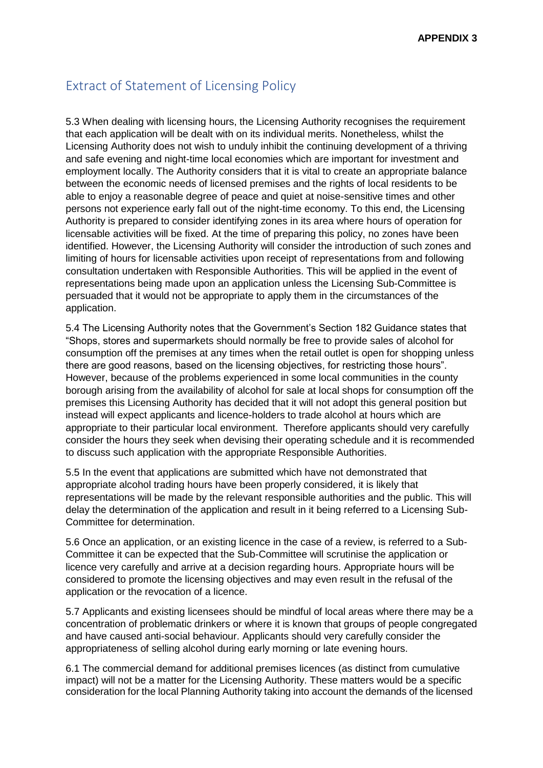## Extract of Statement of Licensing Policy

5.3 When dealing with licensing hours, the Licensing Authority recognises the requirement that each application will be dealt with on its individual merits. Nonetheless, whilst the Licensing Authority does not wish to unduly inhibit the continuing development of a thriving and safe evening and night-time local economies which are important for investment and employment locally. The Authority considers that it is vital to create an appropriate balance between the economic needs of licensed premises and the rights of local residents to be able to enjoy a reasonable degree of peace and quiet at noise-sensitive times and other persons not experience early fall out of the night-time economy. To this end, the Licensing Authority is prepared to consider identifying zones in its area where hours of operation for licensable activities will be fixed. At the time of preparing this policy, no zones have been identified. However, the Licensing Authority will consider the introduction of such zones and limiting of hours for licensable activities upon receipt of representations from and following consultation undertaken with Responsible Authorities. This will be applied in the event of representations being made upon an application unless the Licensing Sub-Committee is persuaded that it would not be appropriate to apply them in the circumstances of the application.

5.4 The Licensing Authority notes that the Government's Section 182 Guidance states that "Shops, stores and supermarkets should normally be free to provide sales of alcohol for consumption off the premises at any times when the retail outlet is open for shopping unless there are good reasons, based on the licensing objectives, for restricting those hours". However, because of the problems experienced in some local communities in the county borough arising from the availability of alcohol for sale at local shops for consumption off the premises this Licensing Authority has decided that it will not adopt this general position but instead will expect applicants and licence-holders to trade alcohol at hours which are appropriate to their particular local environment. Therefore applicants should very carefully consider the hours they seek when devising their operating schedule and it is recommended to discuss such application with the appropriate Responsible Authorities.

5.5 In the event that applications are submitted which have not demonstrated that appropriate alcohol trading hours have been properly considered, it is likely that representations will be made by the relevant responsible authorities and the public. This will delay the determination of the application and result in it being referred to a Licensing Sub-Committee for determination.

5.6 Once an application, or an existing licence in the case of a review, is referred to a Sub-Committee it can be expected that the Sub-Committee will scrutinise the application or licence very carefully and arrive at a decision regarding hours. Appropriate hours will be considered to promote the licensing objectives and may even result in the refusal of the application or the revocation of a licence.

5.7 Applicants and existing licensees should be mindful of local areas where there may be a concentration of problematic drinkers or where it is known that groups of people congregated and have caused anti-social behaviour. Applicants should very carefully consider the appropriateness of selling alcohol during early morning or late evening hours.

6.1 The commercial demand for additional premises licences (as distinct from cumulative impact) will not be a matter for the Licensing Authority. These matters would be a specific consideration for the local Planning Authority taking into account the demands of the licensed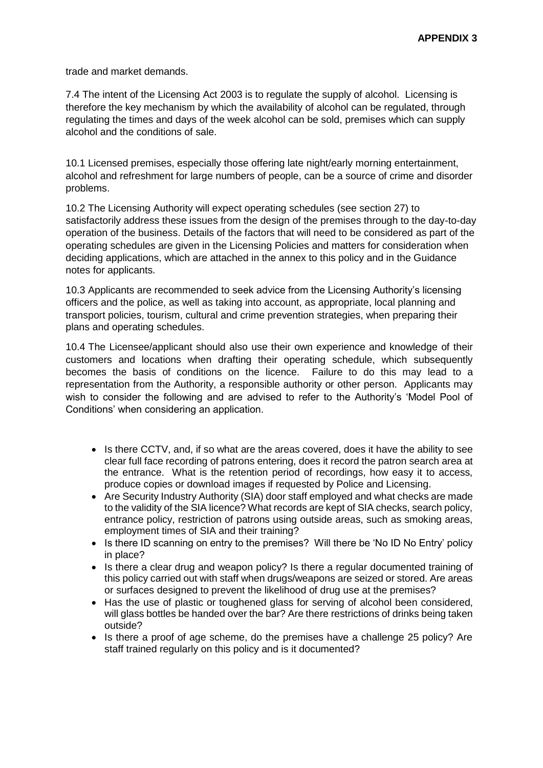trade and market demands.

7.4 The intent of the Licensing Act 2003 is to regulate the supply of alcohol. Licensing is therefore the key mechanism by which the availability of alcohol can be regulated, through regulating the times and days of the week alcohol can be sold, premises which can supply alcohol and the conditions of sale.

10.1 Licensed premises, especially those offering late night/early morning entertainment, alcohol and refreshment for large numbers of people, can be a source of crime and disorder problems.

10.2 The Licensing Authority will expect operating schedules (see section 27) to satisfactorily address these issues from the design of the premises through to the day-to-day operation of the business. Details of the factors that will need to be considered as part of the operating schedules are given in the Licensing Policies and matters for consideration when deciding applications, which are attached in the annex to this policy and in the Guidance notes for applicants.

10.3 Applicants are recommended to seek advice from the Licensing Authority's licensing officers and the police, as well as taking into account, as appropriate, local planning and transport policies, tourism, cultural and crime prevention strategies, when preparing their plans and operating schedules.

10.4 The Licensee/applicant should also use their own experience and knowledge of their customers and locations when drafting their operating schedule, which subsequently becomes the basis of conditions on the licence. Failure to do this may lead to a representation from the Authority, a responsible authority or other person. Applicants may wish to consider the following and are advised to refer to the Authority's 'Model Pool of Conditions' when considering an application.

- Is there CCTV, and, if so what are the areas covered, does it have the ability to see clear full face recording of patrons entering, does it record the patron search area at the entrance. What is the retention period of recordings, how easy it to access, produce copies or download images if requested by Police and Licensing.
- Are Security Industry Authority (SIA) door staff employed and what checks are made to the validity of the SIA licence? What records are kept of SIA checks, search policy, entrance policy, restriction of patrons using outside areas, such as smoking areas, employment times of SIA and their training?
- Is there ID scanning on entry to the premises? Will there be 'No ID No Entry' policy in place?
- Is there a clear drug and weapon policy? Is there a regular documented training of this policy carried out with staff when drugs/weapons are seized or stored. Are areas or surfaces designed to prevent the likelihood of drug use at the premises?
- Has the use of plastic or toughened glass for serving of alcohol been considered, will glass bottles be handed over the bar? Are there restrictions of drinks being taken outside?
- Is there a proof of age scheme, do the premises have a challenge 25 policy? Are staff trained regularly on this policy and is it documented?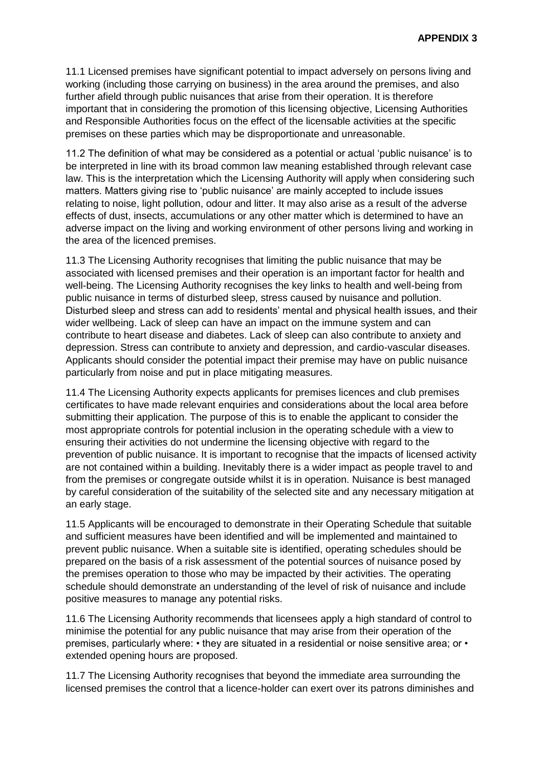11.1 Licensed premises have significant potential to impact adversely on persons living and working (including those carrying on business) in the area around the premises, and also further afield through public nuisances that arise from their operation. It is therefore important that in considering the promotion of this licensing objective, Licensing Authorities and Responsible Authorities focus on the effect of the licensable activities at the specific premises on these parties which may be disproportionate and unreasonable.

11.2 The definition of what may be considered as a potential or actual 'public nuisance' is to be interpreted in line with its broad common law meaning established through relevant case law. This is the interpretation which the Licensing Authority will apply when considering such matters. Matters giving rise to 'public nuisance' are mainly accepted to include issues relating to noise, light pollution, odour and litter. It may also arise as a result of the adverse effects of dust, insects, accumulations or any other matter which is determined to have an adverse impact on the living and working environment of other persons living and working in the area of the licenced premises.

11.3 The Licensing Authority recognises that limiting the public nuisance that may be associated with licensed premises and their operation is an important factor for health and well-being. The Licensing Authority recognises the key links to health and well-being from public nuisance in terms of disturbed sleep, stress caused by nuisance and pollution. Disturbed sleep and stress can add to residents' mental and physical health issues, and their wider wellbeing. Lack of sleep can have an impact on the immune system and can contribute to heart disease and diabetes. Lack of sleep can also contribute to anxiety and depression. Stress can contribute to anxiety and depression, and cardio-vascular diseases. Applicants should consider the potential impact their premise may have on public nuisance particularly from noise and put in place mitigating measures.

11.4 The Licensing Authority expects applicants for premises licences and club premises certificates to have made relevant enquiries and considerations about the local area before submitting their application. The purpose of this is to enable the applicant to consider the most appropriate controls for potential inclusion in the operating schedule with a view to ensuring their activities do not undermine the licensing objective with regard to the prevention of public nuisance. It is important to recognise that the impacts of licensed activity are not contained within a building. Inevitably there is a wider impact as people travel to and from the premises or congregate outside whilst it is in operation. Nuisance is best managed by careful consideration of the suitability of the selected site and any necessary mitigation at an early stage.

11.5 Applicants will be encouraged to demonstrate in their Operating Schedule that suitable and sufficient measures have been identified and will be implemented and maintained to prevent public nuisance. When a suitable site is identified, operating schedules should be prepared on the basis of a risk assessment of the potential sources of nuisance posed by the premises operation to those who may be impacted by their activities. The operating schedule should demonstrate an understanding of the level of risk of nuisance and include positive measures to manage any potential risks.

11.6 The Licensing Authority recommends that licensees apply a high standard of control to minimise the potential for any public nuisance that may arise from their operation of the premises, particularly where: • they are situated in a residential or noise sensitive area; or • extended opening hours are proposed.

11.7 The Licensing Authority recognises that beyond the immediate area surrounding the licensed premises the control that a licence-holder can exert over its patrons diminishes and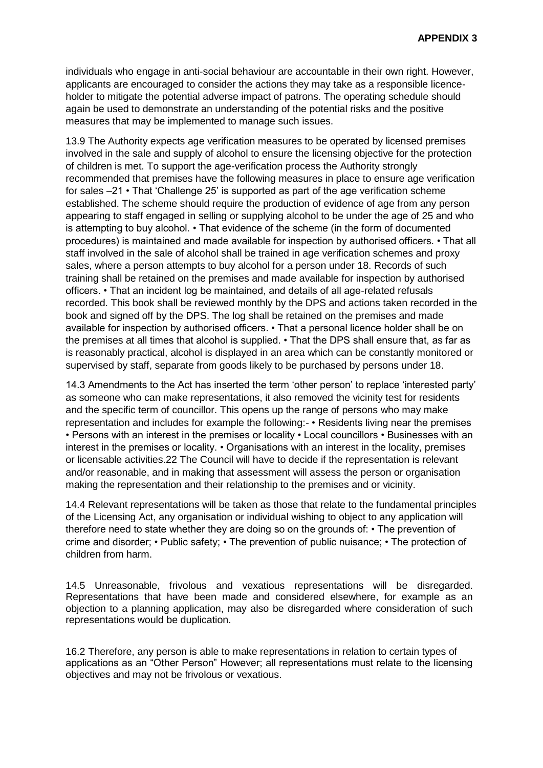individuals who engage in anti-social behaviour are accountable in their own right. However, applicants are encouraged to consider the actions they may take as a responsible licenceholder to mitigate the potential adverse impact of patrons. The operating schedule should again be used to demonstrate an understanding of the potential risks and the positive measures that may be implemented to manage such issues.

13.9 The Authority expects age verification measures to be operated by licensed premises involved in the sale and supply of alcohol to ensure the licensing objective for the protection of children is met. To support the age-verification process the Authority strongly recommended that premises have the following measures in place to ensure age verification for sales –21 • That 'Challenge 25' is supported as part of the age verification scheme established. The scheme should require the production of evidence of age from any person appearing to staff engaged in selling or supplying alcohol to be under the age of 25 and who is attempting to buy alcohol. • That evidence of the scheme (in the form of documented procedures) is maintained and made available for inspection by authorised officers. • That all staff involved in the sale of alcohol shall be trained in age verification schemes and proxy sales, where a person attempts to buy alcohol for a person under 18. Records of such training shall be retained on the premises and made available for inspection by authorised officers. • That an incident log be maintained, and details of all age-related refusals recorded. This book shall be reviewed monthly by the DPS and actions taken recorded in the book and signed off by the DPS. The log shall be retained on the premises and made available for inspection by authorised officers. • That a personal licence holder shall be on the premises at all times that alcohol is supplied. • That the DPS shall ensure that, as far as is reasonably practical, alcohol is displayed in an area which can be constantly monitored or supervised by staff, separate from goods likely to be purchased by persons under 18.

14.3 Amendments to the Act has inserted the term 'other person' to replace 'interested party' as someone who can make representations, it also removed the vicinity test for residents and the specific term of councillor. This opens up the range of persons who may make representation and includes for example the following:- • Residents living near the premises • Persons with an interest in the premises or locality • Local councillors • Businesses with an interest in the premises or locality. • Organisations with an interest in the locality, premises or licensable activities.22 The Council will have to decide if the representation is relevant and/or reasonable, and in making that assessment will assess the person or organisation making the representation and their relationship to the premises and or vicinity.

14.4 Relevant representations will be taken as those that relate to the fundamental principles of the Licensing Act, any organisation or individual wishing to object to any application will therefore need to state whether they are doing so on the grounds of: • The prevention of crime and disorder; • Public safety; • The prevention of public nuisance; • The protection of children from harm.

14.5 Unreasonable, frivolous and vexatious representations will be disregarded. Representations that have been made and considered elsewhere, for example as an objection to a planning application, may also be disregarded where consideration of such representations would be duplication.

16.2 Therefore, any person is able to make representations in relation to certain types of applications as an "Other Person" However; all representations must relate to the licensing objectives and may not be frivolous or vexatious.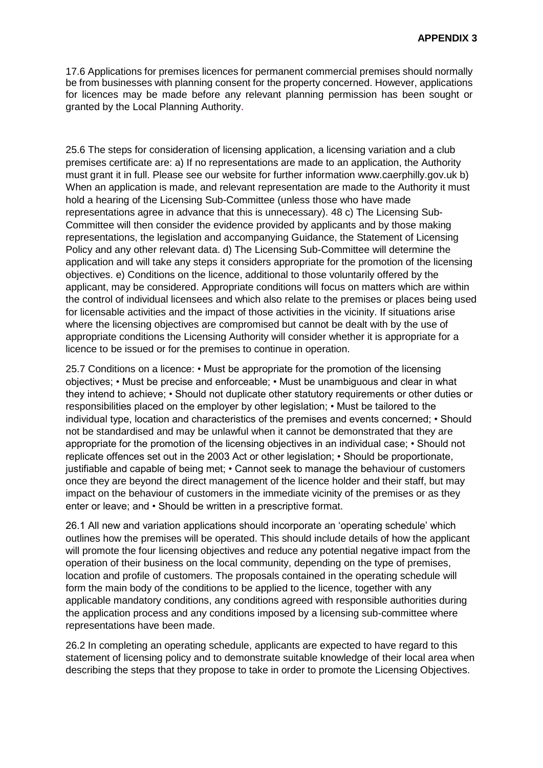17.6 Applications for premises licences for permanent commercial premises should normally be from businesses with planning consent for the property concerned. However, applications for licences may be made before any relevant planning permission has been sought or granted by the Local Planning Authority.

25.6 The steps for consideration of licensing application, a licensing variation and a club premises certificate are: a) If no representations are made to an application, the Authority must grant it in full. Please see our website for further information www.caerphilly.gov.uk b) When an application is made, and relevant representation are made to the Authority it must hold a hearing of the Licensing Sub-Committee (unless those who have made representations agree in advance that this is unnecessary). 48 c) The Licensing Sub-Committee will then consider the evidence provided by applicants and by those making representations, the legislation and accompanying Guidance, the Statement of Licensing Policy and any other relevant data. d) The Licensing Sub-Committee will determine the application and will take any steps it considers appropriate for the promotion of the licensing objectives. e) Conditions on the licence, additional to those voluntarily offered by the applicant, may be considered. Appropriate conditions will focus on matters which are within the control of individual licensees and which also relate to the premises or places being used for licensable activities and the impact of those activities in the vicinity. If situations arise where the licensing objectives are compromised but cannot be dealt with by the use of appropriate conditions the Licensing Authority will consider whether it is appropriate for a licence to be issued or for the premises to continue in operation.

25.7 Conditions on a licence: • Must be appropriate for the promotion of the licensing objectives; • Must be precise and enforceable; • Must be unambiguous and clear in what they intend to achieve; • Should not duplicate other statutory requirements or other duties or responsibilities placed on the employer by other legislation; • Must be tailored to the individual type, location and characteristics of the premises and events concerned; • Should not be standardised and may be unlawful when it cannot be demonstrated that they are appropriate for the promotion of the licensing objectives in an individual case; • Should not replicate offences set out in the 2003 Act or other legislation; • Should be proportionate, justifiable and capable of being met; • Cannot seek to manage the behaviour of customers once they are beyond the direct management of the licence holder and their staff, but may impact on the behaviour of customers in the immediate vicinity of the premises or as they enter or leave; and • Should be written in a prescriptive format.

26.1 All new and variation applications should incorporate an 'operating schedule' which outlines how the premises will be operated. This should include details of how the applicant will promote the four licensing objectives and reduce any potential negative impact from the operation of their business on the local community, depending on the type of premises, location and profile of customers. The proposals contained in the operating schedule will form the main body of the conditions to be applied to the licence, together with any applicable mandatory conditions, any conditions agreed with responsible authorities during the application process and any conditions imposed by a licensing sub-committee where representations have been made.

26.2 In completing an operating schedule, applicants are expected to have regard to this statement of licensing policy and to demonstrate suitable knowledge of their local area when describing the steps that they propose to take in order to promote the Licensing Objectives.